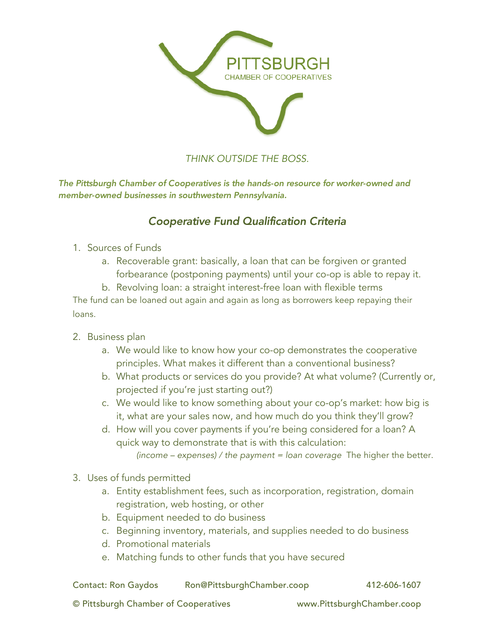

# *THINK OUTSIDE THE BOSS.*

*The Pittsburgh Chamber of Cooperatives is the hands-on resource for worker-owned and member-owned businesses in southwestern Pennsylvania.*

# *Cooperative Fund Qualification Criteria*

### 1. Sources of Funds

a. Recoverable grant: basically, a loan that can be forgiven or granted forbearance (postponing payments) until your co-op is able to repay it.

b. Revolving loan: a straight interest-free loan with flexible terms The fund can be loaned out again and again as long as borrowers keep repaying their loans.

- 2. Business plan
	- a. We would like to know how your co-op demonstrates the cooperative principles. What makes it different than a conventional business?
	- b. What products or services do you provide? At what volume? (Currently or, projected if you're just starting out?)
	- c. We would like to know something about your co-op's market: how big is it, what are your sales now, and how much do you think they'll grow?
	- d. How will you cover payments if you're being considered for a loan? A quick way to demonstrate that is with this calculation:  *(income – expenses) / the payment = loan coverage* The higher the better.
- 3. Uses of funds permitted
	- a. Entity establishment fees, such as incorporation, registration, domain registration, web hosting, or other
	- b. Equipment needed to do business
	- c. Beginning inventory, materials, and supplies needed to do business
	- d. Promotional materials
	- e. Matching funds to other funds that you have secured

| <b>Contact: Ron Gaydos</b> | Ron@PittsburghChamber.coop | 412-606-1607 |
|----------------------------|----------------------------|--------------|
|----------------------------|----------------------------|--------------|

© Pittsburgh Chamber of Cooperatives www.PittsburghChamber.coop